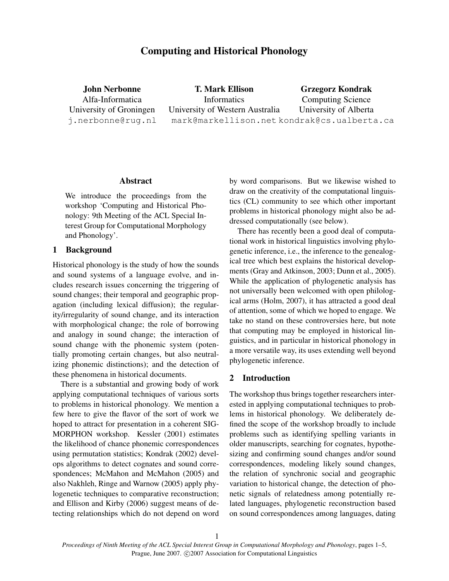# Computing and Historical Phonology

John Nerbonne Alfa-Informatica University of Groningen j.nerbonne@rug.nl

T. Mark Ellison Informatics University of Western Australia mark@markellison.net kondrak@cs.ualberta.ca Grzegorz Kondrak Computing Science University of Alberta

## Abstract

We introduce the proceedings from the workshop 'Computing and Historical Phonology: 9th Meeting of the ACL Special Interest Group for Computational Morphology and Phonology'.

## 1 Background

Historical phonology is the study of how the sounds and sound systems of a language evolve, and includes research issues concerning the triggering of sound changes; their temporal and geographic propagation (including lexical diffusion); the regularity/irregularity of sound change, and its interaction with morphological change; the role of borrowing and analogy in sound change; the interaction of sound change with the phonemic system (potentially promoting certain changes, but also neutralizing phonemic distinctions); and the detection of these phenomena in historical documents.

There is a substantial and growing body of work applying computational techniques of various sorts to problems in historical phonology. We mention a few here to give the flavor of the sort of work we hoped to attract for presentation in a coherent SIG-MORPHON workshop. Kessler (2001) estimates the likelihood of chance phonemic correspondences using permutation statistics; Kondrak (2002) develops algorithms to detect cognates and sound correspondences; McMahon and McMahon (2005) and also Nakhleh, Ringe and Warnow (2005) apply phylogenetic techniques to comparative reconstruction; and Ellison and Kirby (2006) suggest means of detecting relationships which do not depend on word

by word comparisons. But we likewise wished to draw on the creativity of the computational linguistics (CL) community to see which other important problems in historical phonology might also be addressed computationally (see below).

There has recently been a good deal of computational work in historical linguistics involving phylogenetic inference, i.e., the inference to the genealogical tree which best explains the historical developments (Gray and Atkinson, 2003; Dunn et al., 2005). While the application of phylogenetic analysis has not universally been welcomed with open philological arms (Holm, 2007), it has attracted a good deal of attention, some of which we hoped to engage. We take no stand on these controversies here, but note that computing may be employed in historical linguistics, and in particular in historical phonology in a more versatile way, its uses extending well beyond phylogenetic inference.

#### 2 Introduction

The workshop thus brings together researchers interested in applying computational techniques to problems in historical phonology. We deliberately defined the scope of the workshop broadly to include problems such as identifying spelling variants in older manuscripts, searching for cognates, hypothesizing and confirming sound changes and/or sound correspondences, modeling likely sound changes, the relation of synchronic social and geographic variation to historical change, the detection of phonetic signals of relatedness among potentially related languages, phylogenetic reconstruction based on sound correspondences among languages, dating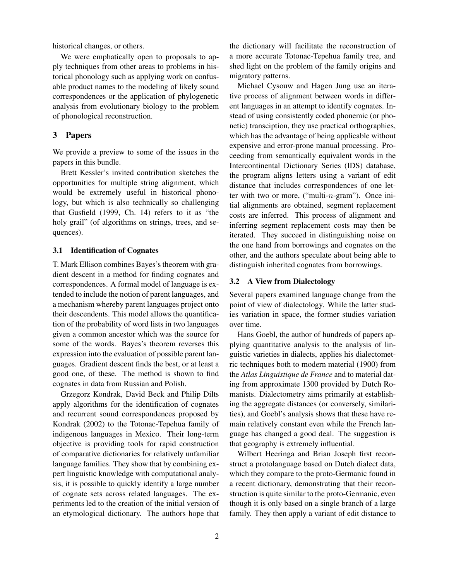historical changes, or others.

We were emphatically open to proposals to apply techniques from other areas to problems in historical phonology such as applying work on confusable product names to the modeling of likely sound correspondences or the application of phylogenetic analysis from evolutionary biology to the problem of phonological reconstruction.

## 3 Papers

We provide a preview to some of the issues in the papers in this bundle.

Brett Kessler's invited contribution sketches the opportunities for multiple string alignment, which would be extremely useful in historical phonology, but which is also technically so challenging that Gusfield (1999, Ch. 14) refers to it as "the holy grail" (of algorithms on strings, trees, and sequences).

## 3.1 Identification of Cognates

T. Mark Ellison combines Bayes's theorem with gradient descent in a method for finding cognates and correspondences. A formal model of language is extended to include the notion of parent languages, and a mechanism whereby parent languages project onto their descendents. This model allows the quantification of the probability of word lists in two languages given a common ancestor which was the source for some of the words. Bayes's theorem reverses this expression into the evaluation of possible parent languages. Gradient descent finds the best, or at least a good one, of these. The method is shown to find cognates in data from Russian and Polish.

Grzegorz Kondrak, David Beck and Philip Dilts apply algorithms for the identification of cognates and recurrent sound correspondences proposed by Kondrak (2002) to the Totonac-Tepehua family of indigenous languages in Mexico. Their long-term objective is providing tools for rapid construction of comparative dictionaries for relatively unfamiliar language families. They show that by combining expert linguistic knowledge with computational analysis, it is possible to quickly identify a large number of cognate sets across related languages. The experiments led to the creation of the initial version of an etymological dictionary. The authors hope that the dictionary will facilitate the reconstruction of a more accurate Totonac-Tepehua family tree, and shed light on the problem of the family origins and migratory patterns.

Michael Cysouw and Hagen Jung use an iterative process of alignment between words in different languages in an attempt to identify cognates. Instead of using consistently coded phonemic (or phonetic) transciption, they use practical orthographies, which has the advantage of being applicable without expensive and error-prone manual processing. Proceeding from semantically equivalent words in the Intercontinental Dictionary Series (IDS) database, the program aligns letters using a variant of edit distance that includes correspondences of one letter with two or more, ("multi-n-gram"). Once initial alignments are obtained, segment replacement costs are inferred. This process of alignment and inferring segment replacement costs may then be iterated. They succeed in distinguishing noise on the one hand from borrowings and cognates on the other, and the authors speculate about being able to distinguish inherited cognates from borrowings.

## 3.2 A View from Dialectology

Several papers examined language change from the point of view of dialectology. While the latter studies variation in space, the former studies variation over time.

Hans Goebl, the author of hundreds of papers applying quantitative analysis to the analysis of linguistic varieties in dialects, applies his dialectometric techniques both to modern material (1900) from the *Atlas Linguistique de France* and to material dating from approximate 1300 provided by Dutch Romanists. Dialectometry aims primarily at establishing the aggregate distances (or conversely, similarities), and Goebl's analysis shows that these have remain relatively constant even while the French language has changed a good deal. The suggestion is that geography is extremely influential.

Wilbert Heeringa and Brian Joseph first reconstruct a protolanguage based on Dutch dialect data, which they compare to the proto-Germanic found in a recent dictionary, demonstrating that their reconstruction is quite similar to the proto-Germanic, even though it is only based on a single branch of a large family. They then apply a variant of edit distance to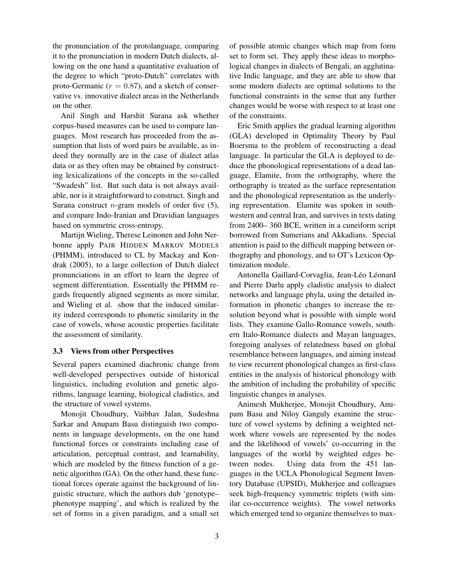the pronunciation of the protolanguage, comparing it to the pronunciation in modern Dutch dialects, allowing on the one hand a quantitative evaluation of the degree to which "proto-Dutch" correlates with proto-Germanic ( $r = 0.87$ ), and a sketch of conservative vs. innovative dialect areas in the Netherlands on the other.

Anil Singh and Harshit Surana ask whether corpus-based measures can be used to compare languages. Most research has proceeded from the assumption that lists of word pairs be available, as indeed they normally are in the case of dialect atlas data or as they often may be obtained by constructing lexicalizations of the concepts in the so-called "Swadesh" list. But such data is not always available, nor is it straightforward to construct. Singh and Surana construct *n*-gram models of order five  $(5)$ , and compare Indo-Iranian and Dravidian languages based on symmetric cross-entropy.

Martijn Wieling, Therese Leinonen and John Nerbonne apply PAIR HIDDEN MARKOV MODELS (PHMM), introduced to CL by Mackay and Kondrak (2005), to a large collection of Dutch dialect pronunciations in an effort to learn the degree of segment differentiation. Essentially the PHMM regards frequently aligned segments as more similar, and Wieling et al. show that the induced similarity indeed corresponds to phonetic similarity in the case of vowels, whose acoustic properties facilitate the assessment of similarity.

#### 3.3 Views from other Perspectives

Several papers examined diachronic change from well-developed perspectives outside of historical linguistics, including evolution and genetic algorithms, language learning, biological cladistics, and the structure of vowel systems.

Monojit Choudhury, Vaibhav Jalan, Sudeshna Sarkar and Anupam Basu distinguish two components in language developments, on the one hand functional forces or constraints including ease of articulation, perceptual contrast, and learnability, which are modeled by the fitness function of a genetic algorithm (GA). On the other hand, these functional forces operate against the background of linguistic structure, which the authors dub 'genotype– phenotype mapping', and which is realized by the set of forms in a given paradigm, and a small set of possible atomic changes which map from form set to form set. They apply these ideas to morphological changes in dialects of Bengali, an agglutinative Indic language, and they are able to show that some modern dialects are optimal solutions to the functional constraints in the sense that any further changes would be worse with respect to at least one of the constraints.

Eric Smith applies the gradual learning algorithm (GLA) developed in Optimality Theory by Paul Boersma to the problem of reconstructing a dead language. In particular the GLA is deployed to deduce the phonological representations of a dead language, Elamite, from the orthography, where the orthography is treated as the surface representation and the phonological representation as the underlying representation. Elamite was spoken in southwestern and central Iran, and survives in texts dating from 2400– 360 BCE, written in a cuneiform script borrowed from Sumerians and Akkadians. Special attention is paid to the difficult mapping between orthography and phonology, and to OT's Lexicon Optimization module.

Antonella Gaillard-Corvaglia, Jean-Léo Léonard and Pierre Darlu apply cladistic analysis to dialect networks and language phyla, using the detailed information in phonetic changes to increase the resolution beyond what is possible with simple word lists. They examine Gallo-Romance vowels, southern Italo-Romance dialects and Mayan languages, foregoing analyses of relatedness based on global resemblance between languages, and aiming instead to view recurrent phonological changes as first-class entities in the analysis of historical phonology with the ambition of including the probability of specific linguistic changes in analyses.

Animesh Mukherjee, Monojit Choudhury, Anupam Basu and Niloy Ganguly examine the structure of vowel systems by defining a weighted network where vowels are represented by the nodes and the likelihood of vowels' co-occurring in the languages of the world by weighted edges between nodes. Using data from the 451 languages in the UCLA Phonological Segment Inventory Database (UPSID), Mukherjee and colleagues seek high-frequency symmetric triplets (with similar co-occurrence weights). The vowel networks which emerged tend to organize themselves to max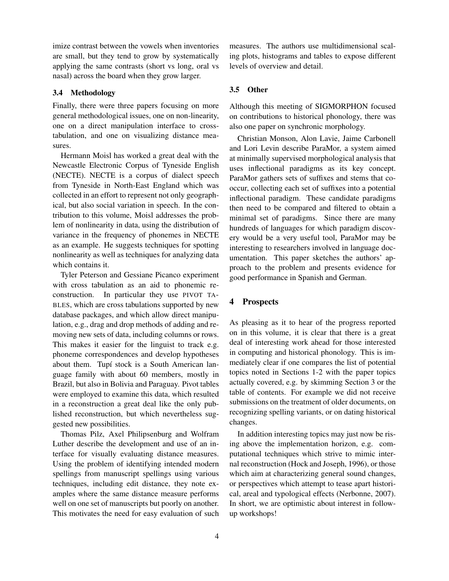imize contrast between the vowels when inventories are small, but they tend to grow by systematically applying the same contrasts (short vs long, oral vs nasal) across the board when they grow larger.

## 3.4 Methodology

Finally, there were three papers focusing on more general methodological issues, one on non-linearity, one on a direct manipulation interface to crosstabulation, and one on visualizing distance measures.

Hermann Moisl has worked a great deal with the Newcastle Electronic Corpus of Tyneside English (NECTE). NECTE is a corpus of dialect speech from Tyneside in North-East England which was collected in an effort to represent not only geographical, but also social variation in speech. In the contribution to this volume, Moisl addresses the problem of nonlinearity in data, using the distribution of variance in the frequency of phonemes in NECTE as an example. He suggests techniques for spotting nonlinearity as well as techniques for analyzing data which contains it.

Tyler Peterson and Gessiane Picanco experiment with cross tabulation as an aid to phonemic reconstruction. In particular they use PIVOT TA-BLES, which are cross tabulations supported by new database packages, and which allow direct manipulation, e.g., drag and drop methods of adding and removing new sets of data, including columns or rows. This makes it easier for the linguist to track e.g. phoneme correspondences and develop hypotheses about them. Tupí stock is a South American language family with about 60 members, mostly in Brazil, but also in Bolivia and Paraguay. Pivot tables were employed to examine this data, which resulted in a reconstruction a great deal like the only published reconstruction, but which nevertheless suggested new possibilities.

Thomas Pilz, Axel Philipsenburg and Wolfram Luther describe the development and use of an interface for visually evaluating distance measures. Using the problem of identifying intended modern spellings from manuscript spellings using various techniques, including edit distance, they note examples where the same distance measure performs well on one set of manuscripts but poorly on another. This motivates the need for easy evaluation of such

measures. The authors use multidimensional scaling plots, histograms and tables to expose different levels of overview and detail.

## 3.5 Other

Although this meeting of SIGMORPHON focused on contributions to historical phonology, there was also one paper on synchronic morphology.

Christian Monson, Alon Lavie, Jaime Carbonell and Lori Levin describe ParaMor, a system aimed at minimally supervised morphological analysis that uses inflectional paradigms as its key concept. ParaMor gathers sets of suffixes and stems that cooccur, collecting each set of suffixes into a potential inflectional paradigm. These candidate paradigms then need to be compared and filtered to obtain a minimal set of paradigms. Since there are many hundreds of languages for which paradigm discovery would be a very useful tool, ParaMor may be interesting to researchers involved in language documentation. This paper sketches the authors' approach to the problem and presents evidence for good performance in Spanish and German.

## 4 Prospects

As pleasing as it to hear of the progress reported on in this volume, it is clear that there is a great deal of interesting work ahead for those interested in computing and historical phonology. This is immediately clear if one compares the list of potential topics noted in Sections 1-2 with the paper topics actually covered, e.g. by skimming Section 3 or the table of contents. For example we did not receive submissions on the treatment of older documents, on recognizing spelling variants, or on dating historical changes.

In addition interesting topics may just now be rising above the implementation horizon, e.g. computational techniques which strive to mimic internal reconstruction (Hock and Joseph, 1996), or those which aim at characterizing general sound changes, or perspectives which attempt to tease apart historical, areal and typological effects (Nerbonne, 2007). In short, we are optimistic about interest in followup workshops!